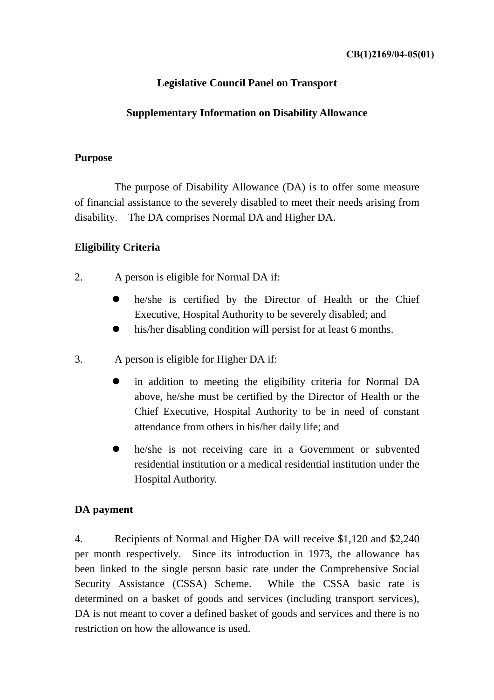# **Legislative Council Panel on Transport**

#### **Supplementary Information on Disability Allowance**

#### **Purpose**

 The purpose of Disability Allowance (DA) is to offer some measure of financial assistance to the severely disabled to meet their needs arising from disability. The DA comprises Normal DA and Higher DA.

## **Eligibility Criteria**

- 2. A person is eligible for Normal DA if:
	- he/she is certified by the Director of Health or the Chief Executive, Hospital Authority to be severely disabled; and
	- his/her disabling condition will persist for at least 6 months.
- 3. A person is eligible for Higher DA if:
	- in addition to meeting the eligibility criteria for Normal DA above, he/she must be certified by the Director of Health or the Chief Executive, Hospital Authority to be in need of constant attendance from others in his/her daily life; and
	- he/she is not receiving care in a Government or subvented residential institution or a medical residential institution under the Hospital Authority.

## **DA payment**

4. Recipients of Normal and Higher DA will receive \$1,120 and \$2,240 per month respectively. Since its introduction in 1973, the allowance has been linked to the single person basic rate under the Comprehensive Social Security Assistance (CSSA) Scheme. While the CSSA basic rate is determined on a basket of goods and services (including transport services), DA is not meant to cover a defined basket of goods and services and there is no restriction on how the allowance is used.